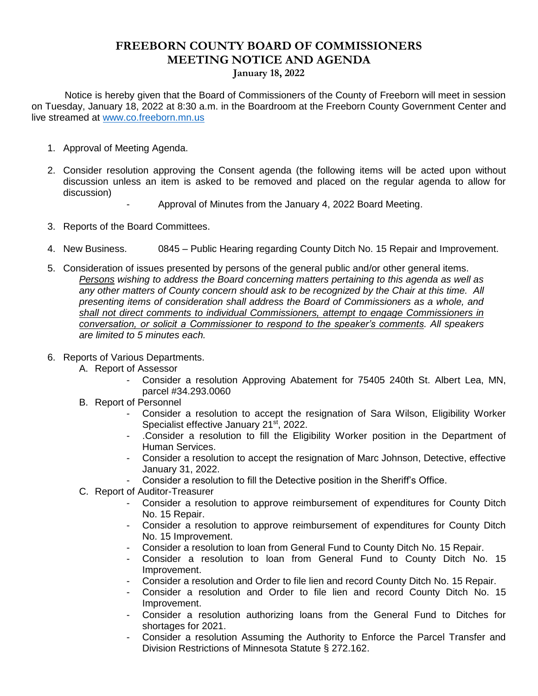## **FREEBORN COUNTY BOARD OF COMMISSIONERS MEETING NOTICE AND AGENDA**

**January 18, 2022**

 Notice is hereby given that the Board of Commissioners of the County of Freeborn will meet in session on Tuesday, January 18, 2022 at 8:30 a.m. in the Boardroom at the Freeborn County Government Center and live streamed at [www.co.freeborn.mn.us](http://www.co.freeborn.mn.us/) 

- 1. Approval of Meeting Agenda.
- 2. Consider resolution approving the Consent agenda (the following items will be acted upon without discussion unless an item is asked to be removed and placed on the regular agenda to allow for discussion)
	- Approval of Minutes from the January 4, 2022 Board Meeting.
- 3. Reports of the Board Committees.
- 4. New Business. 0845 Public Hearing regarding County Ditch No. 15 Repair and Improvement.
- 5. Consideration of issues presented by persons of the general public and/or other general items. *Persons wishing to address the Board concerning matters pertaining to this agenda as well as any other matters of County concern should ask to be recognized by the Chair at this time. All presenting items of consideration shall address the Board of Commissioners as a whole, and shall not direct comments to individual Commissioners, attempt to engage Commissioners in conversation, or solicit a Commissioner to respond to the speaker's comments. All speakers are limited to 5 minutes each.*
- 6. Reports of Various Departments.
	- A. Report of Assessor
		- Consider a resolution Approving Abatement for 75405 240th St. Albert Lea, MN, parcel #34.293.0060
	- B. Report of Personnel
		- Consider a resolution to accept the resignation of Sara Wilson, Eligibility Worker Specialist effective January 21<sup>st</sup>, 2022.
		- .Consider a resolution to fill the Eligibility Worker position in the Department of Human Services.
		- Consider a resolution to accept the resignation of Marc Johnson, Detective, effective January 31, 2022.
		- Consider a resolution to fill the Detective position in the Sheriff's Office.
	- C. Report of Auditor-Treasurer
		- Consider a resolution to approve reimbursement of expenditures for County Ditch No. 15 Repair.
		- Consider a resolution to approve reimbursement of expenditures for County Ditch No. 15 Improvement.
		- Consider a resolution to loan from General Fund to County Ditch No. 15 Repair.
		- Consider a resolution to loan from General Fund to County Ditch No. 15 Improvement.
		- Consider a resolution and Order to file lien and record County Ditch No. 15 Repair.
		- Consider a resolution and Order to file lien and record County Ditch No. 15 Improvement.
		- Consider a resolution authorizing loans from the General Fund to Ditches for shortages for 2021.
		- Consider a resolution Assuming the Authority to Enforce the Parcel Transfer and Division Restrictions of Minnesota Statute § 272.162.